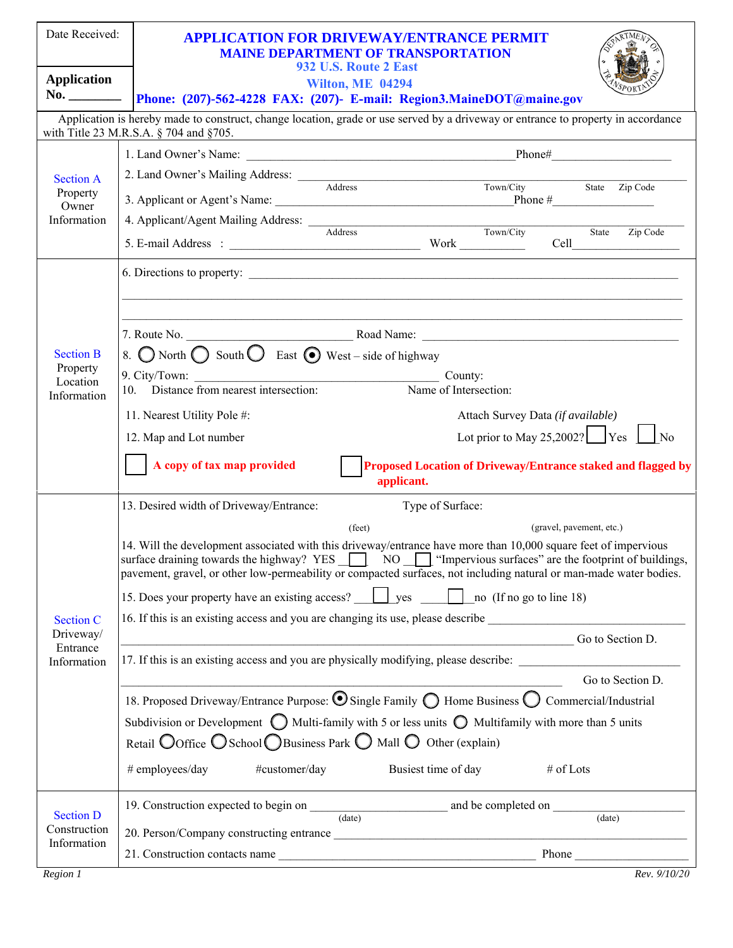| Date Received:                      | <b>APPLICATION FOR DRIVEWAY/ENTRANCE PERMIT</b><br><b>MAINE DEPARTMENT OF TRANSPORTATION</b><br>932 U.S. Route 2 East                                                                                                                                                                                                                          |
|-------------------------------------|------------------------------------------------------------------------------------------------------------------------------------------------------------------------------------------------------------------------------------------------------------------------------------------------------------------------------------------------|
| <b>Application</b>                  | <b>Wilton, ME 04294</b>                                                                                                                                                                                                                                                                                                                        |
|                                     | No. _________  Phone: (207)-562-4228 FAX: (207)- E-mail: Region3.MaineDOT@maine.gov                                                                                                                                                                                                                                                            |
|                                     | Application is hereby made to construct, change location, grade or use served by a driveway or entrance to property in accordance<br>with Title 23 M.R.S.A. § 704 and §705.                                                                                                                                                                    |
|                                     |                                                                                                                                                                                                                                                                                                                                                |
| <b>Section A</b>                    | 2. Land Owner's Mailing Address:<br>Address Town/City State Zip Code                                                                                                                                                                                                                                                                           |
| Property<br>Owner                   |                                                                                                                                                                                                                                                                                                                                                |
| Information                         | 4. Applicant/Agent Mailing Address: Address Town/City State Zip Code                                                                                                                                                                                                                                                                           |
|                                     |                                                                                                                                                                                                                                                                                                                                                |
|                                     | 6. Directions to property:                                                                                                                                                                                                                                                                                                                     |
|                                     |                                                                                                                                                                                                                                                                                                                                                |
|                                     | ,我们也不能在这里的人,我们也不能在这里的人,我们也不能在这里的人,我们也不能在这里的人,我们也不能在这里的人,我们也不能在这里的人,我们也不能在这里的人,我们也                                                                                                                                                                                                                                                              |
| <b>Section B</b>                    | 8. $\bigcirc$ North $\bigcirc$ South $\bigcirc$ East $\bigcirc$ West – side of highway                                                                                                                                                                                                                                                         |
| Property<br>Location<br>Information | County:                                                                                                                                                                                                                                                                                                                                        |
|                                     | 10. Distance from nearest intersection:<br>Name of Intersection:                                                                                                                                                                                                                                                                               |
|                                     | 11. Nearest Utility Pole #:<br>Attach Survey Data (if available)                                                                                                                                                                                                                                                                               |
|                                     | Lot prior to May 25,2002? $\sqrt{\frac{1}{1 + \frac{1}{1}} \times \frac{1}{1}}$ No<br>12. Map and Lot number                                                                                                                                                                                                                                   |
|                                     | A copy of tax map provided<br>Proposed Location of Driveway/Entrance staked and flagged by<br>applicant.                                                                                                                                                                                                                                       |
|                                     | 13. Desired width of Driveway/Entrance:<br>Type of Surface:                                                                                                                                                                                                                                                                                    |
|                                     | (gravel, pavement, etc.)<br>$(\text{feet})$                                                                                                                                                                                                                                                                                                    |
|                                     | 14. Will the development associated with this driveway/entrance have more than 10,000 square feet of impervious<br>surface draining towards the highway? YES NO NO "Impervious surfaces" are the footprint of buildings,<br>pavement, gravel, or other low-permeability or compacted surfaces, not including natural or man-made water bodies. |
| <b>Section C</b>                    | 15. Does your property have an existing access? <u>U</u> yes <b>Community</b> no (If no go to line 18)                                                                                                                                                                                                                                         |
|                                     | 16. If this is an existing access and you are changing its use, please describe                                                                                                                                                                                                                                                                |
| Driveway/<br>Entrance               | Go to Section D.                                                                                                                                                                                                                                                                                                                               |
| Information                         | 17. If this is an existing access and you are physically modifying, please describe:                                                                                                                                                                                                                                                           |
|                                     | Go to Section D.<br>18. Proposed Driveway/Entrance Purpose: O Single Family O Home Business O Commercial/Industrial                                                                                                                                                                                                                            |
|                                     | Subdivision or Development $\bigcirc$ Multi-family with 5 or less units $\bigcirc$ Multifamily with more than 5 units                                                                                                                                                                                                                          |
|                                     | Retail $\bigcirc$ Office $\bigcirc$ School $\bigcirc$ Business Park $\bigcirc$ Mall $\bigcirc$ Other (explain)                                                                                                                                                                                                                                 |
|                                     | # employees/day<br>#customer/day<br>Busiest time of day<br># of Lots                                                                                                                                                                                                                                                                           |
|                                     |                                                                                                                                                                                                                                                                                                                                                |
| <b>Section D</b><br>Construction    | 19. Construction expected to begin on $\frac{1}{(date)}$ and be completed on $\frac{1}{(date)}$                                                                                                                                                                                                                                                |
| Information                         |                                                                                                                                                                                                                                                                                                                                                |
|                                     | 21. Construction contacts name<br>Phone                                                                                                                                                                                                                                                                                                        |